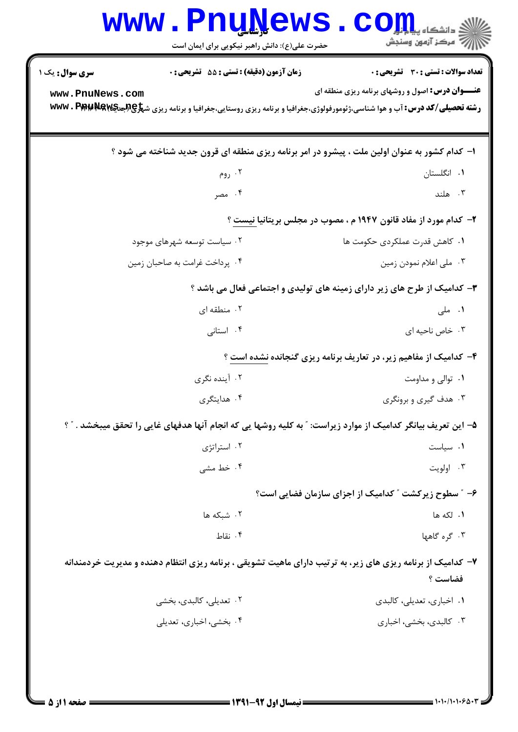| سری سوال: یک ۱<br><b>زمان آزمون (دقیقه) : تستی : 55 تشریحی : 0</b> | <b>تعداد سوالات : تستی : 30 ٪ تشریحی : 0</b>                                                                                                                                                                     |
|--------------------------------------------------------------------|------------------------------------------------------------------------------------------------------------------------------------------------------------------------------------------------------------------|
| www.PnuNews.com                                                    | <b>عنـــوان درس:</b> اصول و روشهای برنامه ریزی منطقه ای<br><b>رشته تحصیلی/کد درس: آب و هوا شناسی،ژئومورفولوژی،جغرافیا و برنامه ریزی روستایی،جغرافیا و برنامه ریزی ش<del>پلو@Rج</del>یکی<b>WW . Ppp با کد</b></b> |
|                                                                    |                                                                                                                                                                                                                  |
|                                                                    | ۱– کدام کشور به عنوان اولین ملت ، پیشرو در امر برنامه ریزی منطقه ای قرون جدید شناخته می شود ؟                                                                                                                    |
| ۰۲ روم                                                             | ۰۱ انگلستان                                                                                                                                                                                                      |
| ۰۴ مصر                                                             | ۰۳ هلند                                                                                                                                                                                                          |
|                                                                    | ۲- کدام مورد از مفاد قانون ۱۹۴۷ م ، مصوب در مجلس بریتانیا نیست ؟                                                                                                                                                 |
| ۰۲ سیاست توسعه شهرهای موجود                                        | ٠١. كاهش قدرت عملكردي حكومت ها                                                                                                                                                                                   |
| ۰۴ پرداخت غرامت به صاحبان زمين                                     | ۰۳ ملی اعلام نمودن زمین                                                                                                                                                                                          |
|                                                                    | ۳- کدامیک از طرح های زیر دارای زمینه های تولیدی و اجتماعی فعال می باشد ؟                                                                                                                                         |
| ۰۲ منطقه ای                                                        | ۰۱ ملی                                                                                                                                                                                                           |
| ۰۴ استانی                                                          | ۰۳ خاص ناحیه ای                                                                                                                                                                                                  |
|                                                                    | ۴- کدامیک از مفاهیم زیر، در تعاریف برنامه ریزی گنجانده نشده است ؟                                                                                                                                                |
| ۰۲ آینده نگری                                                      | ۰۱ توالي و مداومت                                                                                                                                                                                                |
| ۰۴ هدایتگری                                                        | ۰۳ هدف گیری و برونگری                                                                                                                                                                                            |
|                                                                    | ۵– این تعریف بیانگر کدامیک از موارد زیراست: " به کلیه روشها یی که انجام آنها هدفهای غایی را تحقق میبخشد . " ؟                                                                                                    |
| ۰۲ استراتژی                                                        | ٠١ سياست                                                                                                                                                                                                         |
| ۰۴ خط مشی                                                          | ۰۳ اولويت                                                                                                                                                                                                        |
|                                                                    | ۶– ″ سطوح زیرکشت ″ کدامیک از اجزای سازمان فضایی است؟                                                                                                                                                             |
| ۰۲ شبکه ها                                                         | ١. لكه ها                                                                                                                                                                                                        |
| ۰۴ نقاط                                                            | ۰۳ گره گاهها                                                                                                                                                                                                     |
|                                                                    | ۷– کدامیک از برنامه ریزی های زیر، به ترتیب دارای ماهیت تشویقی ، برنامه ریزی انتظام دهنده و مدیریت خردمندانه<br>فضاست ؟                                                                                           |
| ۰۲ تعدیلی، کالبدی، بخشی                                            | ۰۱ اخباری، تعدیلی، کالبدی                                                                                                                                                                                        |
| ۰۴ بخشی، اخباری، تعدیلی                                            | ۰۳ کالبدی، بخشی، اخباری                                                                                                                                                                                          |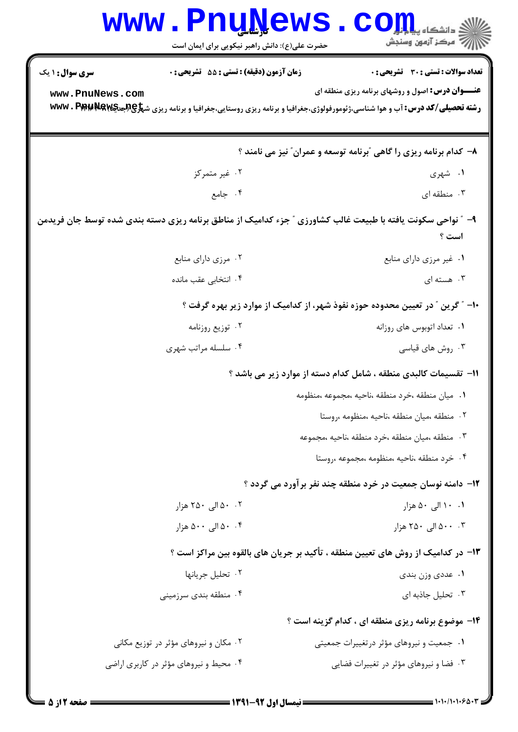## **www.PnuNews.com** حضرت علی(ع): دانش راهبر نیکویی برای ایمان است **تعداد سوالات : تستي : 30 - تشريحي : 0 سری سوال : ۱ یک** زمان آزمون (دقيقه) : تستى : 55 ٪ تشريحي : 0 **عنـــوان درس:** اصول و روشهای برنامه ریزی منطقه ای www.PnuNews.com **رشته تحصیلی/کد درس: آب و هوا شناسی،ژئومورفولوژی،جغرافیا و برنامه ریزی روستایی،جغرافیا و برنامه ریزی ش<del>پلا@Wes ، P W</del>W . P WW** ۸– کدام برنامه ریزی را گاهی "برنامه توسعه و عمران" نیز می نامند ؟ ۰۲ غیر متمرکز ۰۱ شهری ۰۴ جامع ۰۳ منطقه ای  $\cdot$ ۹- ″ نواحی سکونت یافته با طبیعت غالب کشاورزی ″ جزء کدامیک از مناطق برنامه ریزی دسته بندی شده توسط جان فریدمن است ؟ ۰۲ مرزی دارای منابع ۰۱ غیر مرزی دارای منابع ۰۴ انتخابی عقب مانده ۰۳ هسته ای  $\cdot$

- ۱۰– ″ گرین ″ در تعیین محدوده حوزه نفوذ شهر، از کدامیک از موارد زیر بهره گرفت ؟
- ۰۲ توزیع روزنامه ۰۱ تعداد اتوبوس های روزانه
- ۰۴ سلسله مراتب شهری ۰۳ , وش های قیاسے
	- **۱۱-** تقسیمات کالبدی منطقه ، شامل کدام دسته از موارد زیر می باشد ؟
		- ٠١. ميان منطقه ،خرد منطقه ،ناحيه ،مجموعه ،منظومه
			- ٢. منطقه ،ميان منطقه ،ناحيه ،منظومه ،روستا
		- ٣. منطقه ،ميان منطقه ،خرد منطقه ،ناحيه ،مجموعه
			- ۰۴ خرد منطقه ،ناحیه ،منظومه ،مجموعه ،روستا .
		- **۱۲** دامنه نوسان جمعیت در خرد منطقه چند نفر برآورد می گردد ؟
	- ۰۲ ۵۰ الی ۲۵۰ هزار ۰۱ ۱۰ الی ۵۰ هزار
	- ۰۰ . ۵۰ الی ۲۵۰ هزار ۰۴ ۵۰ الی ۵۰۰ هزار
	- ۱۳– در کدامیک از روش های تعیین منطقه ، تأکید بر جریان های بالقوه بین مراکز است ؟
- ٢. تحليل جريانها ۰۱ عددی وزن بندی
- ۰۴ منطقه بندي سرزميني ۰۳ تحلیل جاذبه ای

۱۴- موضوع برنامه ریزی منطقه ای ، کدام گزینه است ؟

۰۱ جمعیت و نیروهای مؤثر در تغییرات جمعیتی ۰۲ مکان و نیروهای مؤثر در توزیع مکانی ۰۴ محیط و نیروهای مؤثر در کاربری اراضی ۰۳ فضا و نیروهای مؤثر در تغییرات فضایی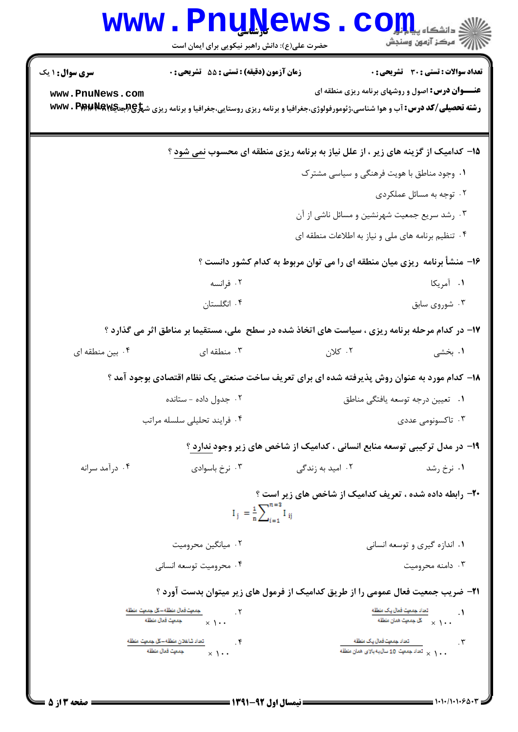|                                                                                                                | www.PnuNews                                      |                                                                                                                                          | ے<br>وائشگاہ پی <mark>اب</mark> لو<br>ک                 |  |
|----------------------------------------------------------------------------------------------------------------|--------------------------------------------------|------------------------------------------------------------------------------------------------------------------------------------------|---------------------------------------------------------|--|
|                                                                                                                | حضرت علی(ع): دانش راهبر نیکویی برای ایمان است    |                                                                                                                                          | أآآآآ مركز آزمون وسنجش                                  |  |
| <b>سری سوال : ۱ یک</b>                                                                                         | <b>زمان آزمون (دقیقه) : تستی : 55 تشریحی : 0</b> |                                                                                                                                          | تعداد سوالات : تستى : 30 - تشريحي : 0                   |  |
| www.PnuNews.com                                                                                                |                                                  | <b>رشته تحصیلی/کد درس: آ</b> ب و هوا شناسی،ژئومورفولوژی،جغرافیا و برنامه ریزی روستایی،جغرافیا و برنامه ریزی ش <del>پرچپپهپ۷۷۳۰</del> WWW | <b>عنـــوان درس:</b> اصول و روشهای برنامه ریزی منطقه ای |  |
|                                                                                                                |                                                  | ۱۵- کدامیک از گزینه های زیر ، از علل نیاز به برنامه ریزی منطقه ای محسوب نمی شود ؟                                                        |                                                         |  |
|                                                                                                                |                                                  | ۰۱ وجود مناطق با هویت فرهنگی و سیاسی مشترک                                                                                               |                                                         |  |
|                                                                                                                |                                                  |                                                                                                                                          | ۰۲ توجه به مسائل عملکردی                                |  |
|                                                                                                                |                                                  | ۰۳ رشد سریع جمعیت شهرنشین و مسائل ناشی از آن                                                                                             |                                                         |  |
|                                                                                                                |                                                  | ۰۴ تنظیم برنامه های ملی و نیاز به اطلاعات منطقه ای                                                                                       |                                                         |  |
| ۱۶- منشأ برنامه ریزی میان منطقه ای را می توان مربوط به کدام کشور دانست ؟                                       |                                                  |                                                                                                                                          |                                                         |  |
|                                                                                                                | ۰۲ فرانسه                                        |                                                                                                                                          | ۰۱ آمریکا                                               |  |
|                                                                                                                | ۰۴ انگلستان                                      |                                                                                                                                          | ۰۳ شوروی سابق                                           |  |
|                                                                                                                |                                                  | ۱۷- در کدام مرحله برنامه ریزی ، سیاست های اتخاذ شده در سطح ً ملی، مستقیماً بر مناطق اثر می گذارد ؟                                       |                                                         |  |
| ۰۴ بین منطقه ای                                                                                                | شنطقه ای $\cdot$ ۳                               | ۰۲ کلان                                                                                                                                  | ۱. بخشی                                                 |  |
|                                                                                                                |                                                  | ۱۸– کدام مورد به عنوان روش پذیرفته شده ای برای تعریف ساخت صنعتی یک نظام اقتصادی بوجود آمد ؟                                              |                                                         |  |
|                                                                                                                | ۰۲ جدول داده - ستانده                            |                                                                                                                                          | ۰۱ تعیین درجه توسعه یافتگی مناطق                        |  |
|                                                                                                                | ۰۴ فرايند تحليلي سلسله مراتب                     |                                                                                                                                          | ۰۳ تاکسونومی عددی                                       |  |
| ۱۹- در مدل ترکیبی توسعه منابع انسانی ، کدامیک از شاخص های زیر وجود ندارد ؟                                     |                                                  |                                                                                                                                          |                                                         |  |
| ۰۴ درآمد سرانه                                                                                                 | ۰۳ نرخ باسوادي                                   | ۰۲ امید به زندگی                                                                                                                         | ۰۱ نرخ رشد                                              |  |
| <b>۲۰</b> - رابطه داده شده ، تعریف کدامیک از شاخص های زیر است ؟<br>$I_j = \frac{1}{n} \sum_{i=1}^{n=s} I_{ij}$ |                                                  |                                                                                                                                          |                                                         |  |
|                                                                                                                | ۰۲ میانگین محرومیت                               |                                                                                                                                          | ۰۱ اندازه گیری و توسعه انسانی                           |  |
|                                                                                                                | ۰۴ محرومیت توسعه انسانی                          |                                                                                                                                          | ۰۳ دامنه محرومیت                                        |  |
|                                                                                                                |                                                  | <b>۲۱</b> - ضریب جمعیت فعال عمومی را از طریق کدامیک از فرمول های زیر میتوان بدست آورد ؟                                                  |                                                         |  |
|                                                                                                                |                                                  |                                                                                                                                          |                                                         |  |

منطقه المسلم المسلم المسلم المسلم المسلم المسلم المسلم المسلم المسلم المسلم المسلم المسلم المسلم ال<br>جمع المسلم المسلم المسلم المسلم المسلم المسلم المسلم المسلم المسلم المسلم المسلم المسلم المسلم المسلم المسلم ا كساد شاغلان منطقه ــكل جمعيت منطقه  $\chi$  .  $\chi$  ,  $\chi$  ,  $\chi$  ,  $\chi$ ۳ .<br>- المعاد جمعيت قمال يـک منطقه<br>- مـ ( × تعاد جمعيت 10 سال به بالای همان منطقه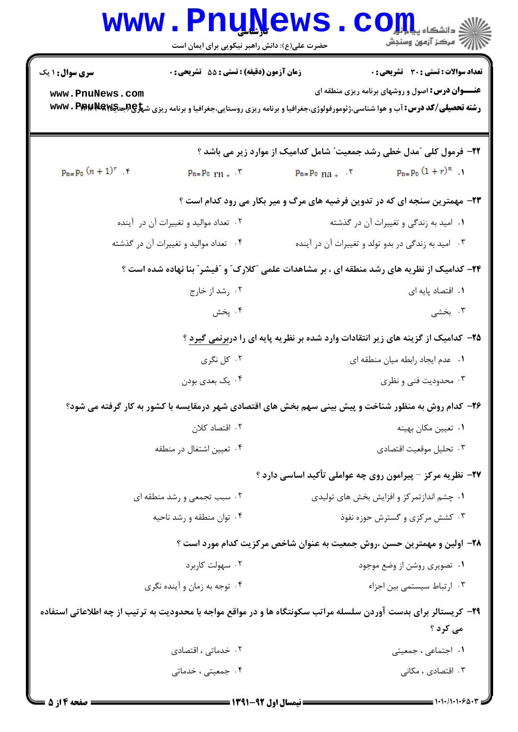|                                                                                                                              | <b>www.PnuNews</b><br>حضرت علی(ع): دانش راهبر نیکویی برای ایمان است               | $\mathop{\hbox{\bf CO}}\nolimits_{\rm GL_2}$<br>رآب مرڪز آزمون وسنڊش                                 |  |  |
|------------------------------------------------------------------------------------------------------------------------------|-----------------------------------------------------------------------------------|------------------------------------------------------------------------------------------------------|--|--|
| <b>سری سوال :</b> ۱ یک                                                                                                       | تعداد سوالات : تستى : 30 قشريحى : 0<br>زمان آزمون (دقیقه) : تستی : 55 آتشریحی : 0 |                                                                                                      |  |  |
| <b>عنـــوان درس:</b> اصول و روشهای برنامه ریزی منطقه ای<br>www.PnuNews.com                                                   |                                                                                   |                                                                                                      |  |  |
|                                                                                                                              |                                                                                   | ۲۲- فرمول کلی آمدل خطی رشد جمعیت ؒ شامل کدامیک از موارد زیر می باشد ؟                                |  |  |
| $p_{n=}p_0 (n + 1)^r$                                                                                                        | $P_{n}=P_{0}$ $rn + \cdot 7$                                                      | $p_{n=}p_0(1+r)^n$ .<br>$p_{n} = p_{0}$ $na + \cdot$                                                 |  |  |
|                                                                                                                              |                                                                                   | ۲۳- مهمترین سنجه ای که در تدوین فرضیه های مرگ و میر بکار می رود کدام است ؟                           |  |  |
|                                                                                                                              | ۰۲ تعداد مواليد و تغييرات آن در آينده                                             | ۰۱ امید به زندگی و تغییرات آن در گذشته                                                               |  |  |
|                                                                                                                              | ۰۴ تعداد مواليد و تغييرات آن در گذشته                                             | ۰۳ امید به زندگی در بدو تولد و تغییرات آن در آینده                                                   |  |  |
|                                                                                                                              |                                                                                   | ۲۴- کدامیک از نظریه های رشد منطقه ای ، بر مشاهدات علمی "کلارک" و "فیشر" بنا نهاده شده است ؟          |  |  |
|                                                                                                                              | ۰۲ رشد از خارج                                                                    | ٠١. اقتصاد پايه ای                                                                                   |  |  |
|                                                                                                                              | ۰۴ پخش                                                                            | ۰۳ بخشی                                                                                              |  |  |
| ۲۵– کدامیک از گزینه های زیر انتقادات وارد شده بر نظریه پایه ای را دربرنمی گیرد ؟                                             |                                                                                   |                                                                                                      |  |  |
| ۰۲ کل نگری                                                                                                                   |                                                                                   | ٠١ عدم ايجاد رابطه ميان منطقه اي                                                                     |  |  |
|                                                                                                                              | ۰۴ يک بعدي بودن                                                                   | ۰۳ محدودیت فنی و نظری                                                                                |  |  |
|                                                                                                                              |                                                                                   | ۲۶– کدام روش به منظور شناخت و پیش بینی سهم بخش های اقتصادی شهر درمقایسه با کشور به کار گرفته می شود؟ |  |  |
|                                                                                                                              | ۰۲ اقتصاد کلان                                                                    | ٠١ تعيين مكان بهينه                                                                                  |  |  |
|                                                                                                                              | ۰۴ تعيين اشتغال در منطقه                                                          | ۰۳ تحليل موقعيت اقتصادي                                                                              |  |  |
|                                                                                                                              |                                                                                   | ۲۷- نظریه مرکز – پیرامون روی چه عواملی تأکید اساسی دارد ؟                                            |  |  |
|                                                                                                                              | ۰۲ سبب تجمعی و رشد منطقه ای                                                       | ۰۱ چشم اندازتمرکز و افزایش بخش های تولیدی                                                            |  |  |
|                                                                                                                              | ۰۴ توان منطقه و رشد ناحیه                                                         | ۰۳ کشش مرکزی و گسترش حوزه نفوذ                                                                       |  |  |
|                                                                                                                              |                                                                                   | ۲۸– اولین و مهمترین حسن ،روش جمعیت به عنوان شاخص مرکزیت کدام مورد است ؟                              |  |  |
|                                                                                                                              | ۰۲ سهولت کاربرد                                                                   | ۰۱ تصویری روشن از وضع موجود                                                                          |  |  |
|                                                                                                                              | ۰۴ توجه به زمان و آینده نگری                                                      | ٠٣ ارتباط سيستمى بين اجزاء                                                                           |  |  |
| ۲۹- کریستالر برای بدست آوردن سلسله مراتب سکونتگاه ها و در مواقع مواجه با محدودیت به ترتیب از چه اطلاعاتی استفاده<br>می کرد ؟ |                                                                                   |                                                                                                      |  |  |
|                                                                                                                              | ۰۲ خدماتی ، اقتصادی                                                               | ۰۱ اجتماعی ، جمعیتی                                                                                  |  |  |
| ۰۴ جمعیتی ، خدماتی                                                                                                           |                                                                                   | ۰۳ اقتصادی ، مکانی                                                                                   |  |  |